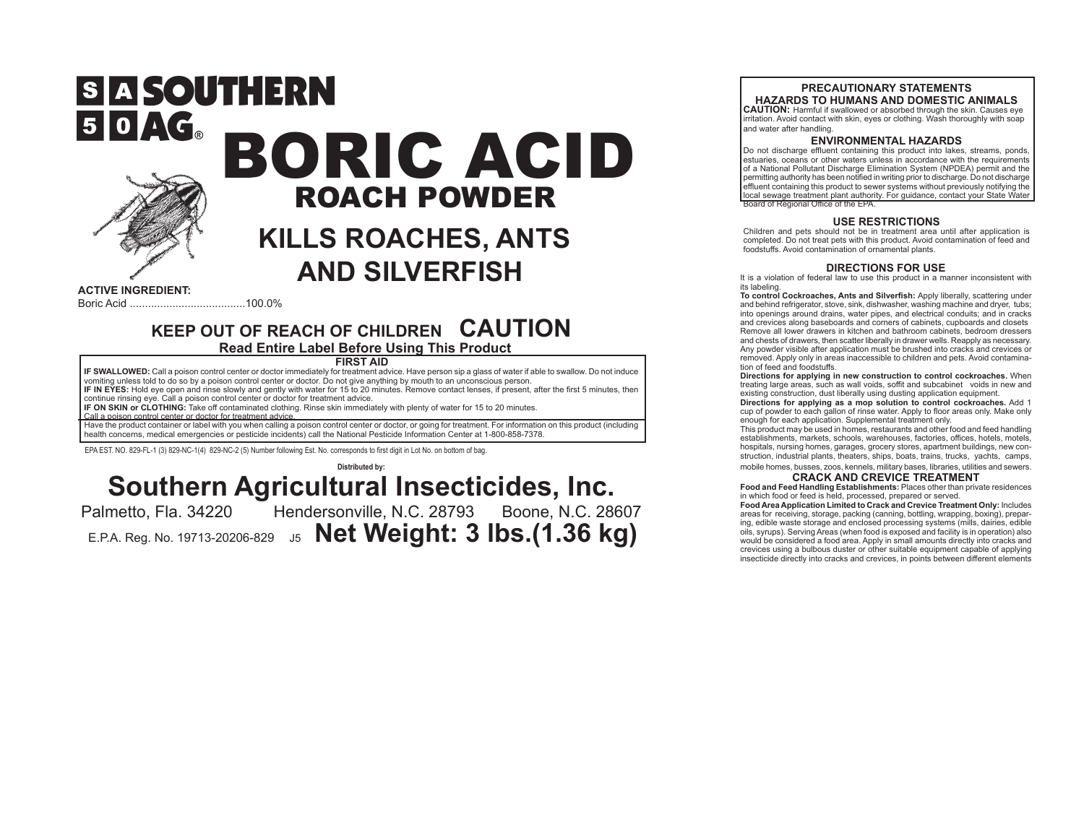

 $50 \angle G_{\circ}$ 

# S A SOUTHERN BORIC ACID ROACH POWDER

## **KILLS ROACHES, ANTS AND SILVERFISH**

**ACTIVE INGREDIENT:** Boric Acid ......................................100.0%

### **KEEP OUT OF REACH OF CHILDREN CAUTION Read Entire Label Before Using This Product**

**FIRST AID**

**IF SWALLOWED:** Call a poison control center or doctor immediately for treatment advice. Have person sip a glass of water if able to swallow. Do not induce vomiting unless told to do so by a poison control center or doctor. Do not give anything by mouth to an unconscious person. **IF IN EYES:** Hold eye open and rinse slowly and gently with water for 15 to 20 minutes. Remove contact lenses, if present, after the first 5 minutes, then

continue rinsing eye. Call a poison control center or doctor for treatment advice.

**IF ON SKIN or CLOTHING:** Take off contaminated clothing. Rinse skin immediately with plenty of water for 15 to 20 minutes. Call a poison control center or doctor for treatment advice.

Have the product container or label with you when calling a poison control center or doctor, or going for treatment. For information on this product (including health concerns, medical emergencies or pesticide incidents) call the National Pesticide Information Center at 1-800-858-7378.

EPA EST. NO. 829-FL-1 (3) 829-NC-1(4) 829-NC-2 (5) Number following Est. No. corresponds to first digit in Lot No. on bottom of bag.

### **Distributed by: Southern Agricultural Insecticides, Inc.**<br>Palmetto, Fla. 34220 Hendersonville, N.C. 28793 Boone, N.C. 28

Hendersonville, N.C. 28793 Boone, N.C. 28607 E.P.A. Reg. No. 19713-20206-829 J5 **Net Weight: 3 lbs.(1.36 kg)**

#### **PRECAUTIONARY STATEMENTS HAZARDS TO HUMANS AND DOMESTIC ANIMALS**

**CAUTION:** Harmful if swallowed or absorbed through the skin. Causes eye irritation. Avoid contact with skin, eyes or clothing. Wash thoroughly with soap and water after handling.

#### **ENVIRONMENTAL HAZARDS**

Do not discharge effluent containing this product into lakes, streams, ponds, estuaries, oceans or other waters unless in accordance with the requirements of a National Pollutant Discharge Elimination System (NPDEA) permit and the permitting authority has been notified in writing prior to discharge. Do not discharge effluent containing this product to sewer systems without previously notifying the local sewage treatment plant authority. For guidance, contact your State Water Board of Regional Office of the EPA.

#### **USE RESTRICTIONS**

Children and pets should not be in treatment area until after application is completed. Do not treat pets with this product. Avoid contamination of feed and foodstuffs. Avoid contamination of ornamental plants.

#### **DIRECTIONS FOR USE**

It is a violation of federal law to use this product in a manner inconsistent with its labeling.

**To control Cockroaches, Ants and Silverfish:** Apply liberally, scattering under and behind refrigerator, stove, sink, dishwasher, washing machine and dryer, tubs; into openings around drains, water pipes, and electrical conduits; and in cracks and crevices along baseboards and corners of cabinets, cupboards and closets Remove all lower drawers in kitchen and bathroom cabinets, bedroom dressers and chests of drawers, then scatter liberally in drawer wells. Reapply as necessary. Any powder visible after application must be brushed into cracks and crevices or removed. Apply only in areas inaccessible to children and pets. Avoid contamination of feed and foodstuffs.

**Directions for applying in new construction to control cockroaches.** When treating large areas, such as wall voids, soffit and subcabinet voids in new and existing construction, dust liberally using dusting application equipment.

**Directions for applying as a mop solution to control cockroaches.** Add 1 cup of powder to each gallon of rinse water. Apply to floor areas only. Make only enough for each application. Supplemental treatment only.

This product may be used in homes, restaurants and other food and feed handling establishments, markets, schools, warehouses, factories, offices, hotels, motels, hospitals, nursing homes, garages, grocery stores, apartment buildings, new construction, industrial plants, theaters, ships, boats, trains, trucks, yachts, camps, mobile homes, busses, zoos, kennels, military bases, libraries, utilities and sewers.

#### **CRACK AND CREVICE TREATMENT**

**Food and Feed Handling Establishments:** Places other than private residences in which food or feed is held, processed, prepared or served.

**Food Area Application Limited to Crack and Crevice Treatment Only:** Includes areas for receiving, storage, packing (canning, bottling, wrapping, boxing), preparing, edible waste storage and enclosed processing systems (mills, dairies, edible oils, syrups). Serving Areas (when food is exposed and facility is in operation) also would be considered a food area. Apply in small amounts directly into cracks and crevices using a bulbous duster or other suitable equipment capable of applying insecticide directly into cracks and crevices, in points between different elements